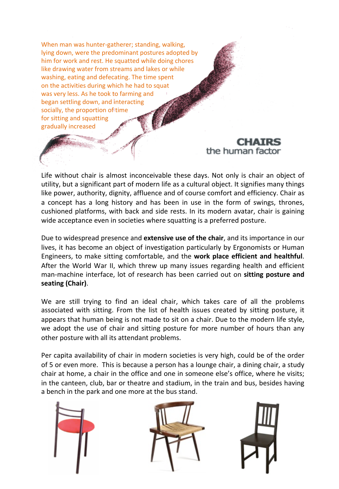When man was hunter-gatherer; standing, walking, lying down, were the predominant postures adopted by him for work and rest. He squatted while doing chores like drawing water from streams and lakes or while washing, eating and defecating. The time spent on the activities during which he had to squat was very less. As he took to farming and began settling down, and interacting socially, the proportion of time for sitting and squatting gradually increased

#### **CHAIRS** the human factor

Life without chair is almost inconceivable these days. Not only is chair an object of utility, but a significant part of modern life as a cultural object. It signifies many things like power, authority, dignity, affluence and of course comfort and efficiency. Chair as a concept has a long history and has been in use in the form of swings, thrones, cushioned platforms, with back and side rests. In its modern avatar, chair is gaining wide acceptance even in societies where squatting is a preferred posture.

Due to widespread presence and extensive use of the chair, and its importance in our lives, it has become an object of investigation particularly by Ergonomists or Human Engineers, to make sitting comfortable, and the **work place efficient and healthful**. After the World War II, which threw up many issues regarding health and efficient man-machine interface, lot of research has been carried out on sitting posture and **seating (Chair)**. 

We are still trying to find an ideal chair, which takes care of all the problems associated with sitting. From the list of health issues created by sitting posture, it appears that human being is not made to sit on a chair. Due to the modern life style, we adopt the use of chair and sitting posture for more number of hours than any other posture with all its attendant problems.

Per capita availability of chair in modern societies is very high, could be of the order of 5 or even more. This is because a person has a lounge chair, a dining chair, a study chair at home, a chair in the office and one in someone else's office, where he visits; in the canteen, club, bar or theatre and stadium, in the train and bus, besides having a bench in the park and one more at the bus stand.



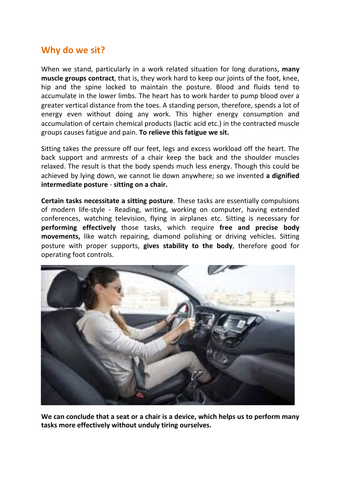#### Why do we sit?

When we stand, particularly in a work related situation for long durations, many **muscle groups contract**, that is, they work hard to keep our joints of the foot, knee, hip and the spine locked to maintain the posture. Blood and fluids tend to accumulate in the lower limbs. The heart has to work harder to pump blood over a greater vertical distance from the toes. A standing person, therefore, spends a lot of energy even without doing any work. This higher energy consumption and accumulation of certain chemical products (lactic acid etc.) in the contracted muscle groups causes fatigue and pain. To relieve this fatigue we sit.

Sitting takes the pressure off our feet, legs and excess workload off the heart. The back support and armrests of a chair keep the back and the shoulder muscles relaxed. The result is that the body spends much less energy. Though this could be achieved by lying down, we cannot lie down anywhere; so we invented a dignified **intermediate posture** - sitting on a chair.

**Certain tasks necessitate a sitting posture**. These tasks are essentially compulsions of modern life-style - Reading, writing, working on computer, having extended conferences, watching television, flying in airplanes etc. Sitting is necessary for **performing effectively** those tasks, which require free and precise body **movements,** like watch repairing, diamond polishing or driving vehicles. Sitting posture with proper supports, **gives stability to the body**, therefore good for operating foot controls.



We can conclude that a seat or a chair is a device, which helps us to perform many tasks more effectively without unduly tiring ourselves.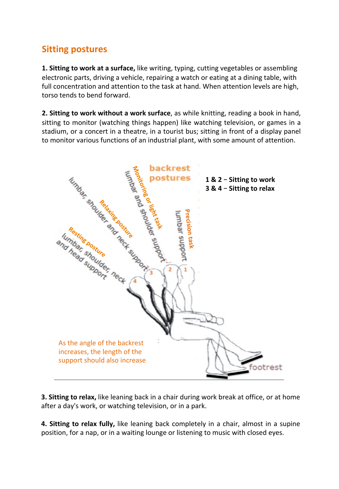## **Sitting postures**

**1. Sitting to work at a surface,** like writing, typing, cutting vegetables or assembling electronic parts, driving a vehicle, repairing a watch or eating at a dining table, with full concentration and attention to the task at hand. When attention levels are high, torso tends to bend forward.

**2. Sitting to work without a work surface**, as while knitting, reading a book in hand, sitting to monitor (watching things happen) like watching television, or games in a stadium, or a concert in a theatre, in a tourist bus; sitting in front of a display panel to monitor various functions of an industrial plant, with some amount of attention.



**3. Sitting to relax,** like leaning back in a chair during work break at office, or at home after a day's work, or watching television, or in a park.

**4. Sitting to relax fully,** like leaning back completely in a chair, almost in a supine position, for a nap, or in a waiting lounge or listening to music with closed eyes.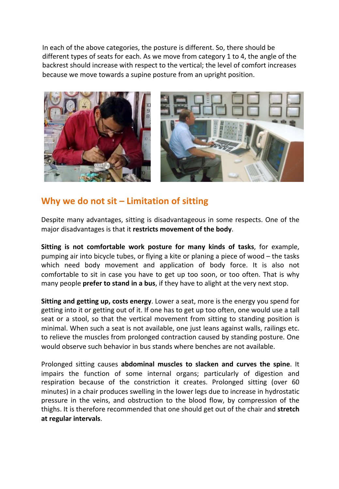In each of the above categories, the posture is different. So, there should be different types of seats for each. As we move from category 1 to 4, the angle of the backrest should increase with respect to the vertical; the level of comfort increases because we move towards a supine posture from an upright position.





#### **Why we do not sit – Limitation of sitting**

Despite many advantages, sitting is disadvantageous in some respects. One of the major disadvantages is that it restricts movement of the body.

**Sitting is not comfortable work posture for many kinds of tasks**, for example, pumping air into bicycle tubes, or flying a kite or planing a piece of wood – the tasks which need body movement and application of body force. It is also not comfortable to sit in case you have to get up too soon, or too often. That is why many people **prefer to stand in a bus**, if they have to alight at the very next stop.

**Sitting and getting up, costs energy**. Lower a seat, more is the energy you spend for getting into it or getting out of it. If one has to get up too often, one would use a tall seat or a stool, so that the vertical movement from sitting to standing position is minimal. When such a seat is not available, one just leans against walls, railings etc. to relieve the muscles from prolonged contraction caused by standing posture. One would observe such behavior in bus stands where benches are not available.

Prolonged sitting causes **abdominal muscles to slacken and curves the spine**. It impairs the function of some internal organs; particularly of digestion and respiration because of the constriction it creates. Prolonged sitting (over 60 minutes) in a chair produces swelling in the lower legs due to increase in hydrostatic pressure in the veins, and obstruction to the blood flow, by compression of the thighs. It is therefore recommended that one should get out of the chair and **stretch at regular intervals**.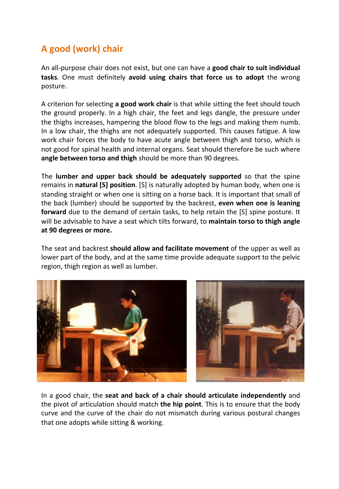# A good (work) chair

An all-purpose chair does not exist, but one can have a **good chair to suit individual tasks**. One must definitely avoid using chairs that force us to adopt the wrong posture. 

A criterion for selecting **a good work chair** is that while sitting the feet should touch the ground properly. In a high chair, the feet and legs dangle, the pressure under the thighs increases, hampering the blood flow to the legs and making them numb. In a low chair, the thighs are not adequately supported. This causes fatigue. A low work chair forces the body to have acute angle between thigh and torso, which is not good for spinal health and internal organs. Seat should therefore be such where angle between torso and thigh should be more than 90 degrees.

The **lumber and upper back should be adequately supported** so that the spine remains in **natural [S] position**. [S] is naturally adopted by human body, when one is standing straight or when one is sitting on a horse back. It is important that small of the back (lumber) should be supported by the backrest, **even when one is leaning forward** due to the demand of certain tasks, to help retain the [S] spine posture. It will be advisable to have a seat which tilts forward, to **maintain torso to thigh angle** at 90 degrees or more.

The seat and backrest **should allow and facilitate movement** of the upper as well as lower part of the body, and at the same time provide adequate support to the pelvic region, thigh region as well as lumber.



In a good chair, the **seat and back of a chair should articulate independently** and the pivot of articulation should match **the hip point**. This is to ensure that the body curve and the curve of the chair do not mismatch during various postural changes that one adopts while sitting & working.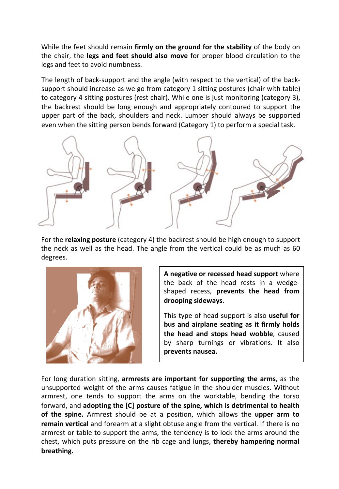While the feet should remain **firmly on the ground for the stability** of the body on the chair, the **legs and feet should also move** for proper blood circulation to the legs and feet to avoid numbness.

The length of back-support and the angle (with respect to the vertical) of the backsupport should increase as we go from category 1 sitting postures (chair with table) to category 4 sitting postures (rest chair). While one is just monitoring (category 3), the backrest should be long enough and appropriately contoured to support the upper part of the back, shoulders and neck. Lumber should always be supported even when the sitting person bends forward (Category 1) to perform a special task.



For the **relaxing posture** (category 4) the backrest should be high enough to support the neck as well as the head. The angle from the vertical could be as much as 60 degrees. 



**A** negative or recessed head support where the back of the head rests in a wedgeshaped recess, **prevents the head from drooping sideways**. 

This type of head support is also useful for bus and airplane seating as it firmly holds the head and stops head wobble, caused by sharp turnings or vibrations. It also prevents nausea.

For long duration sitting, **armrests are important for supporting the arms**, as the unsupported weight of the arms causes fatigue in the shoulder muscles. Without armrest, one tends to support the arms on the worktable, bending the torso forward, and **adopting the [C] posture of the spine, which is detrimental to health of the spine.** Armrest should be at a position, which allows the **upper arm to remain vertical** and forearm at a slight obtuse angle from the vertical. If there is no armrest or table to support the arms, the tendency is to lock the arms around the chest, which puts pressure on the rib cage and lungs, **thereby hampering normal** breathing.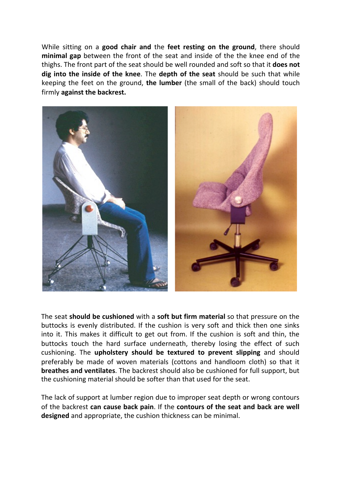While sitting on a **good chair and** the **feet resting on the ground**, there should **minimal gap** between the front of the seat and inside of the the knee end of the thighs. The front part of the seat should be well rounded and soft so that it **does not** dig into the inside of the knee. The depth of the seat should be such that while keeping the feet on the ground, **the lumber** (the small of the back) should touch firmly against the backrest.



The seat **should be cushioned** with a **soft but firm material** so that pressure on the buttocks is evenly distributed. If the cushion is very soft and thick then one sinks into it. This makes it difficult to get out from. If the cushion is soft and thin, the buttocks touch the hard surface underneath, thereby losing the effect of such cushioning. The upholstery should be textured to prevent slipping and should preferably be made of woven materials (cottons and handloom cloth) so that it **breathes and ventilates**. The backrest should also be cushioned for full support, but the cushioning material should be softer than that used for the seat.

The lack of support at lumber region due to improper seat depth or wrong contours of the backrest **can cause back pain**. If the **contours of the seat and back are well** designed and appropriate, the cushion thickness can be minimal.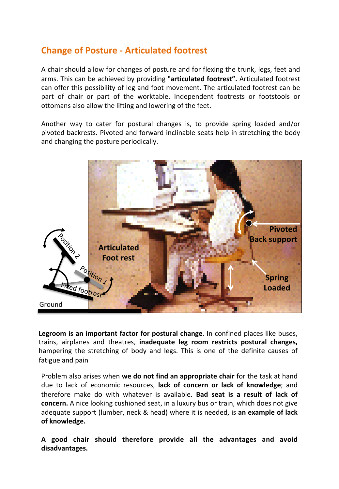## **Change of Posture - Articulated footrest**

A chair should allow for changes of posture and for flexing the trunk, legs, feet and arms. This can be achieved by providing "articulated footrest". Articulated footrest can offer this possibility of leg and foot movement. The articulated footrest can be part of chair or part of the worktable. Independent footrests or footstools or ottomans also allow the lifting and lowering of the feet.

Another way to cater for postural changes is, to provide spring loaded and/or pivoted backrests. Pivoted and forward inclinable seats help in stretching the body and changing the posture periodically.



**Legroom is an important factor for postural change**. In confined places like buses, trains, airplanes and theatres, inadequate leg room restricts postural changes, hampering the stretching of body and legs. This is one of the definite causes of fatigue and pain

Problem also arises when **we do not find an appropriate chair** for the task at hand due to lack of economic resources, **lack of concern or lack of knowledge**; and therefore make do with whatever is available. Bad seat is a result of lack of **concern.** A nice looking cushioned seat, in a luxury bus or train, which does not give adequate support (lumber, neck & head) where it is needed, is an example of lack of knowledge.

A good chair should therefore provide all the advantages and avoid **disadvantages.**